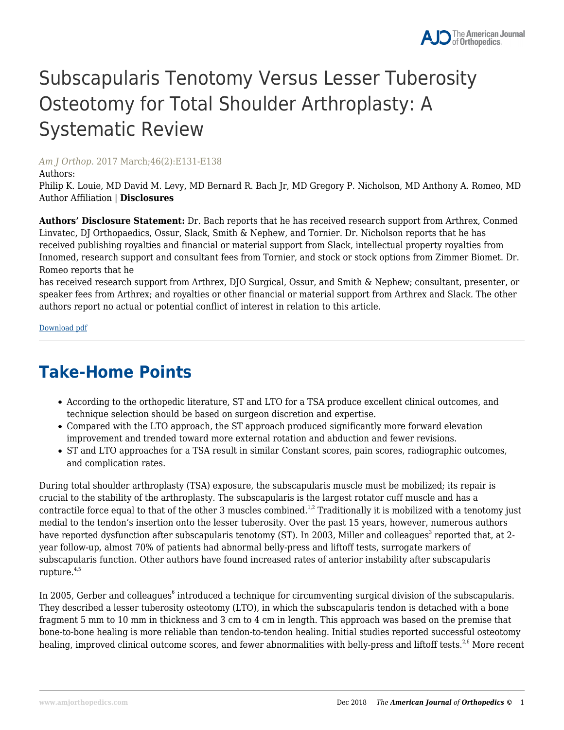# Subscapularis Tenotomy Versus Lesser Tuberosity Osteotomy for Total Shoulder Arthroplasty: A Systematic Review

#### *Am J Orthop*. 2017 March;46(2):E131-E138

#### Authors:

Philip K. Louie, MD David M. Levy, MD Bernard R. Bach Jr, MD Gregory P. Nicholson, MD Anthony A. Romeo, MD Author Affiliation | **Disclosures**

**Authors' Disclosure Statement:** Dr. Bach reports that he has received research support from Arthrex, Conmed Linvatec, DJ Orthopaedics, Ossur, Slack, Smith & Nephew, and Tornier. Dr. Nicholson reports that he has received publishing royalties and financial or material support from Slack, intellectual property royalties from Innomed, research support and consultant fees from Tornier, and stock or stock options from Zimmer Biomet. Dr. Romeo reports that he

has received research support from Arthrex, DJO Surgical, Ossur, and Smith & Nephew; consultant, presenter, or speaker fees from Arthrex; and royalties or other financial or material support from Arthrex and Slack. The other authors report no actual or potential conflict of interest in relation to this article.

Download pdf

### **Take-Home Points**

- According to the orthopedic literature, ST and LTO for a TSA produce excellent clinical outcomes, and technique selection should be based on surgeon discretion and expertise.
- Compared with the LTO approach, the ST approach produced significantly more forward elevation improvement and trended toward more external rotation and abduction and fewer revisions.
- ST and LTO approaches for a TSA result in similar Constant scores, pain scores, radiographic outcomes, and complication rates.

During total shoulder arthroplasty (TSA) exposure, the subscapularis muscle must be mobilized; its repair is crucial to the stability of the arthroplasty. The subscapularis is the largest rotator cuff muscle and has a contractile force equal to that of the other 3 muscles combined.<sup>1,2</sup> Traditionally it is mobilized with a tenotomy just medial to the tendon's insertion onto the lesser tuberosity. Over the past 15 years, however, numerous authors have reported dysfunction after subscapularis tenotomy (ST). In 2003, Miller and colleagues $^{\rm 3}$  reported that, at 2year follow-up, almost 70% of patients had abnormal belly-press and liftoff tests, surrogate markers of subscapularis function. Other authors have found increased rates of anterior instability after subscapularis rupture. $4,5$ 

In 2005, Gerber and colleagues<sup>6</sup> introduced a technique for circumventing surgical division of the subscapularis. They described a lesser tuberosity osteotomy (LTO), in which the subscapularis tendon is detached with a bone fragment 5 mm to 10 mm in thickness and 3 cm to 4 cm in length. This approach was based on the premise that bone-to-bone healing is more reliable than tendon-to-tendon healing. Initial studies reported successful osteotomy healing, improved clinical outcome scores, and fewer abnormalities with belly-press and liftoff tests.<sup>2,6</sup> More recent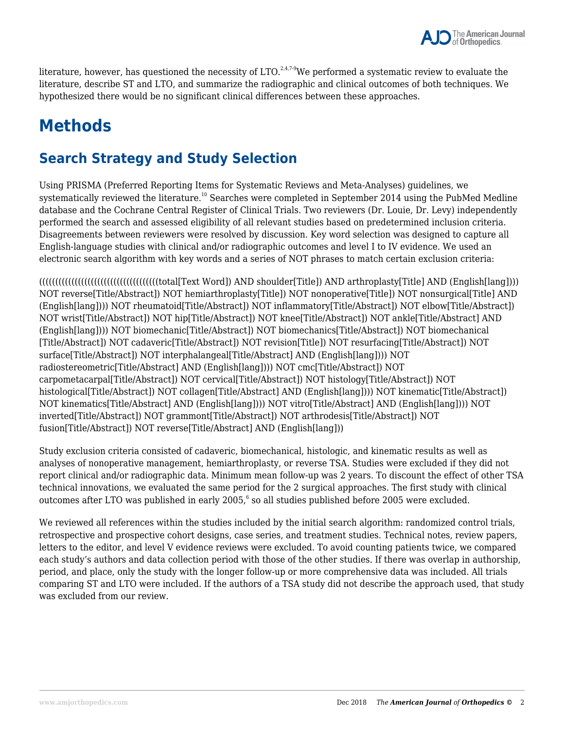

literature, however, has questioned the necessity of LTO.<sup>2,4,7.9</sup>We performed a systematic review to evaluate the literature, describe ST and LTO, and summarize the radiographic and clinical outcomes of both techniques. We hypothesized there would be no significant clinical differences between these approaches.

## **Methods**

#### **Search Strategy and Study Selection**

Using PRISMA (Preferred Reporting Items for Systematic Reviews and Meta-Analyses) guidelines, we systematically reviewed the literature.<sup>10</sup> Searches were completed in September 2014 using the PubMed Medline database and the Cochrane Central Register of Clinical Trials. Two reviewers (Dr. Louie, Dr. Levy) independently performed the search and assessed eligibility of all relevant studies based on predetermined inclusion criteria. Disagreements between reviewers were resolved by discussion. Key word selection was designed to capture all English-language studies with clinical and/or radiographic outcomes and level I to IV evidence. We used an electronic search algorithm with key words and a series of NOT phrases to match certain exclusion criteria:

(((((((((((((((((((((((((((((((((((((total[Text Word]) AND shoulder[Title]) AND arthroplasty[Title] AND (English[lang]))) NOT reverse[Title/Abstract]) NOT hemiarthroplasty[Title]) NOT nonoperative[Title]) NOT nonsurgical[Title] AND (English[lang]))) NOT rheumatoid[Title/Abstract]) NOT inflammatory[Title/Abstract]) NOT elbow[Title/Abstract]) NOT wrist[Title/Abstract]) NOT hip[Title/Abstract]) NOT knee[Title/Abstract]) NOT ankle[Title/Abstract] AND (English[lang]))) NOT biomechanic[Title/Abstract]) NOT biomechanics[Title/Abstract]) NOT biomechanical [Title/Abstract]) NOT cadaveric[Title/Abstract]) NOT revision[Title]) NOT resurfacing[Title/Abstract]) NOT surface[Title/Abstract]) NOT interphalangeal[Title/Abstract] AND (English[lang]))) NOT radiostereometric[Title/Abstract] AND (English[lang]))) NOT cmc[Title/Abstract]) NOT carpometacarpal[Title/Abstract]) NOT cervical[Title/Abstract]) NOT histology[Title/Abstract]) NOT histological[Title/Abstract]) NOT collagen[Title/Abstract] AND (English[lang]))) NOT kinematic[Title/Abstract]) NOT kinematics[Title/Abstract] AND (English[lang]))) NOT vitro[Title/Abstract] AND (English[lang]))) NOT inverted[Title/Abstract]) NOT grammont[Title/Abstract]) NOT arthrodesis[Title/Abstract]) NOT fusion[Title/Abstract]) NOT reverse[Title/Abstract] AND (English[lang]))

Study exclusion criteria consisted of cadaveric, biomechanical, histologic, and kinematic results as well as analyses of nonoperative management, hemiarthroplasty, or reverse TSA. Studies were excluded if they did not report clinical and/or radiographic data. Minimum mean follow-up was 2 years. To discount the effect of other TSA technical innovations, we evaluated the same period for the 2 surgical approaches. The first study with clinical outcomes after LTO was published in early 2005, $^6$  so all studies published before 2005 were excluded.

We reviewed all references within the studies included by the initial search algorithm: randomized control trials, retrospective and prospective cohort designs, case series, and treatment studies. Technical notes, review papers, letters to the editor, and level V evidence reviews were excluded. To avoid counting patients twice, we compared each study's authors and data collection period with those of the other studies. If there was overlap in authorship, period, and place, only the study with the longer follow-up or more comprehensive data was included. All trials comparing ST and LTO were included. If the authors of a TSA study did not describe the approach used, that study was excluded from our review.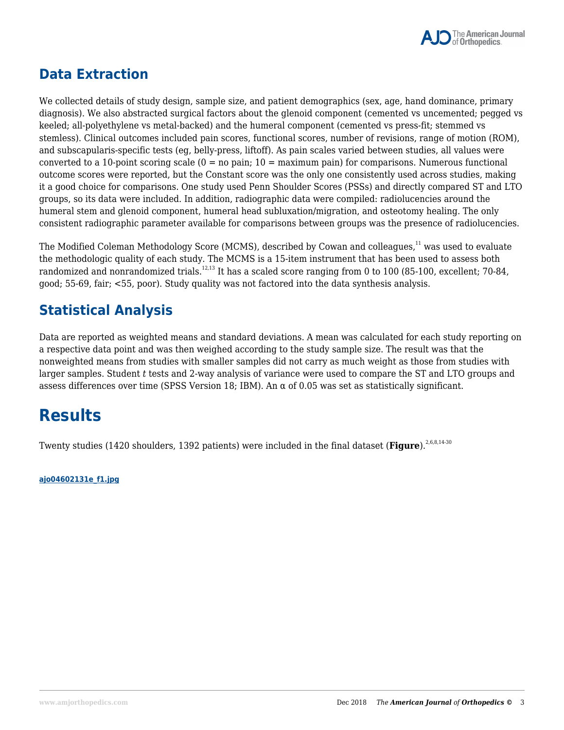

#### **Data Extraction**

We collected details of study design, sample size, and patient demographics (sex, age, hand dominance, primary diagnosis). We also abstracted surgical factors about the glenoid component (cemented vs uncemented; pegged vs keeled; all-polyethylene vs metal-backed) and the humeral component (cemented vs press-fit; stemmed vs stemless). Clinical outcomes included pain scores, functional scores, number of revisions, range of motion (ROM), and subscapularis-specific tests (eg, belly-press, liftoff). As pain scales varied between studies, all values were converted to a 10-point scoring scale  $(0 = no \,\text{pain}; 10 = \text{maximum } \text{pain})$  for comparisons. Numerous functional outcome scores were reported, but the Constant score was the only one consistently used across studies, making it a good choice for comparisons. One study used Penn Shoulder Scores (PSSs) and directly compared ST and LTO groups, so its data were included. In addition, radiographic data were compiled: radiolucencies around the humeral stem and glenoid component, humeral head subluxation/migration, and osteotomy healing. The only consistent radiographic parameter available for comparisons between groups was the presence of radiolucencies.

The Modified Coleman Methodology Score (MCMS), described by Cowan and colleagues,<sup>11</sup> was used to evaluate the methodologic quality of each study. The MCMS is a 15-item instrument that has been used to assess both randomized and nonrandomized trials.<sup>12,13</sup> It has a scaled score ranging from 0 to 100 (85-100, excellent; 70-84, good; 55-69, fair; <55, poor). Study quality was not factored into the data synthesis analysis.

#### **Statistical Analysis**

Data are reported as weighted means and standard deviations. A mean was calculated for each study reporting on a respective data point and was then weighed according to the study sample size. The result was that the nonweighted means from studies with smaller samples did not carry as much weight as those from studies with larger samples. Student *t* tests and 2-way analysis of variance were used to compare the ST and LTO groups and assess differences over time (SPSS Version 18; IBM). An  $\alpha$  of 0.05 was set as statistically significant.

### **Results**

Twenty studies (1420 shoulders, 1392 patients) were included in the final dataset (Figure).<sup>2,6,8,14-30</sup>

**ajo04602131e\_f1.jpg**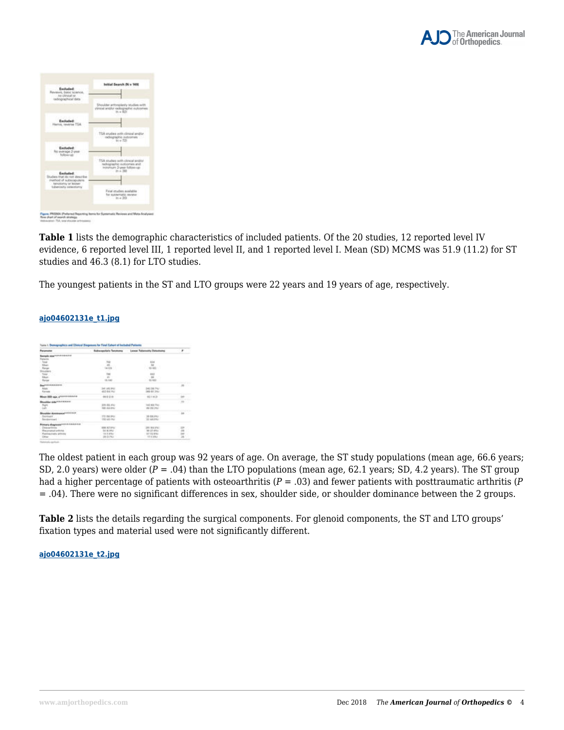

| Excluded:<br>Reviews, basic telephone<br>In other of the<br>sadoprachical data                                                     | Initial Search (N = 149)                                                                                                       |
|------------------------------------------------------------------------------------------------------------------------------------|--------------------------------------------------------------------------------------------------------------------------------|
| <b>Exch</b><br>Harnis, touerse TSA                                                                                                 | Shoulder arthroplasty trtudes with<br>stimule and/or radiographic outcomes.<br>M. = 823                                        |
| <b>Excluded:</b><br>No everage 2-year<br><b>Solloweek</b>                                                                          | 75A studies with clinical and/or<br>and option is a strumer<br>$m = 721$<br>TSA studies with clinical and/or                   |
| Enthulad:<br>Diades that do not describe<br>method of schecapolars.<br>. beneficiently of lessner<br><b>Subarctains categority</b> | radioprashic outcomes and<br>- Indramates 2-year-follow-rate<br>. 200<br>Final studies auxilable."                             |
|                                                                                                                                    | for sustainable review -<br>in a 201<br>Figure: PRISAEA (Praharised Reporting forms for Systematic Reviews and Midta-Analysas) |

**Table 1** lists the demographic characteristics of included patients. Of the 20 studies, 12 reported level IV evidence, 6 reported level III, 1 reported level II, and 1 reported level I. Mean (SD) MCMS was 51.9 (11.2) for ST studies and 46.3 (8.1) for LTO studies.

The youngest patients in the ST and LTO groups were 22 years and 19 years of age, respectively.

| <b><i><u>Panjamana</u></i></b>                                                                                                                                     |                        | Robus applierts Tenomena Leonar Televisions Detectores | ×       |
|--------------------------------------------------------------------------------------------------------------------------------------------------------------------|------------------------|--------------------------------------------------------|---------|
| <b>Angle EpalMANIFERING</b>                                                                                                                                        |                        |                                                        |         |
| <b>Fariconic</b>                                                                                                                                                   |                        |                                                        |         |
| <b>Turned</b>                                                                                                                                                      |                        | u                                                      |         |
|                                                                                                                                                                    | di.                    | $\frac{M}{4-40}$                                       |         |
|                                                                                                                                                                    |                        |                                                        |         |
|                                                                                                                                                                    |                        |                                                        |         |
|                                                                                                                                                                    |                        | Ave o                                                  |         |
|                                                                                                                                                                    |                        | $-16$                                                  |         |
| $\begin{array}{l} \displaystyle \lim_{\hbox{for\,} \, \mu} \\ \displaystyle \lim_{\hbox{for\,} \, \mu} \\ \displaystyle \lim_{\hbox{for\,} \, \mu} \\ \end{array}$ | $\frac{n}{\ln(n)}$     | $-141, 043$                                            |         |
| Male<br>Male<br>Figures                                                                                                                                            |                        |                                                        |         |
|                                                                                                                                                                    | 341145392              | 345 09 74 F                                            |         |
|                                                                                                                                                                    | 140214-010             | 388-813AF                                              |         |
| Meas (80) aga procedurates                                                                                                                                         | 100 0.0                | 193111-00                                              |         |
|                                                                                                                                                                    |                        |                                                        |         |
| Dreating side think them                                                                                                                                           |                        |                                                        | 73      |
| t,                                                                                                                                                                 | $-209.04.001$          | 141103791                                              |         |
|                                                                                                                                                                    | 103184-014             | A4 OIL 25/                                             |         |
| ------                                                                                                                                                             |                        |                                                        | $^{16}$ |
| Duringill                                                                                                                                                          | 173 indules            | $-2648.044$                                            |         |
|                                                                                                                                                                    | <b>Microsoft River</b> | 22 (44.9%)                                             |         |
|                                                                                                                                                                    |                        |                                                        |         |
| Printed displayers and address to                                                                                                                                  |                        |                                                        |         |
| Cleanwrighting                                                                                                                                                     | <b>BIR ATVIV</b>       | 281 814 3/6/                                           |         |
| <b>Reportered artists</b>                                                                                                                                          | \$4.95.850             | WEST MAIL                                              | Ē       |
| Postmachains Winds                                                                                                                                                 | 15 3 # NJ              | 197102994                                              |         |
| Other                                                                                                                                                              | 28 DOWL                | XT10/ANA                                               |         |
|                                                                                                                                                                    |                        |                                                        |         |

#### **ajo04602131e\_t1.jpg**

The oldest patient in each group was 92 years of age. On average, the ST study populations (mean age, 66.6 years; SD, 2.0 years) were older (*P* = .04) than the LTO populations (mean age, 62.1 years; SD, 4.2 years). The ST group had a higher percentage of patients with osteoarthritis (*P* = .03) and fewer patients with posttraumatic arthritis (*P* = .04). There were no significant differences in sex, shoulder side, or shoulder dominance between the 2 groups.

**Table 2** lists the details regarding the surgical components. For glenoid components, the ST and LTO groups' fixation types and material used were not significantly different.

#### **ajo04602131e\_t2.jpg**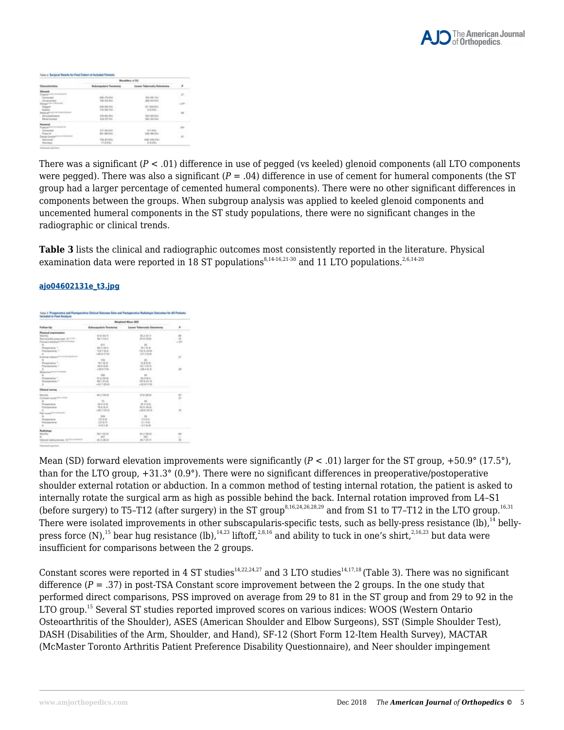

|  | 4.4750                                     |                                  |   |
|--|--------------------------------------------|----------------------------------|---|
|  | <b>Belocapolaris Tenetoris</b>             | Leonar Tollertoilly Ontwittering |   |
|  |                                            |                                  |   |
|  | 170.00.397<br>279-82-8%<br><b>ZM OTTAL</b> | 242 LEE PAY                      | n |
|  |                                            | 110,000<br>as in senso           |   |
|  |                                            | $4 - 50 - 2$                     |   |

There was a significant  $(P < .01)$  difference in use of pegged (vs keeled) glenoid components (all LTO components were pegged). There was also a significant  $(P = .04)$  difference in use of cement for humeral components (the ST group had a larger percentage of cemented humeral components). There were no other significant differences in components between the groups. When subgroup analysis was applied to keeled glenoid components and uncemented humeral components in the ST study populations, there were no significant changes in the radiographic or clinical trends.

**Table 3** lists the clinical and radiographic outcomes most consistently reported in the literature. Physical examination data were reported in 18 ST populations<sup>8,14-16,21-30</sup> and 11 LTO populations.<sup>2,6,14-20</sup>

|                                              | <b>Weighted Ween DIDI</b>                     |                               |                |
|----------------------------------------------|-----------------------------------------------|-------------------------------|----------------|
| <b>Bullion Us</b><br><b>AT LESSAN R</b>      | <b>Subscapularia Suzuk</b><br>ty is plainting | Lossel Robertsilla Debertsera | - 1            |
| Peaning assessmenties                        |                                               |                               |                |
|                                              | <b>Bridge Av</b>                              | 88.2 (P.W.                    | 쁬              |
| of helly press had. BASSAT -                 | 94.7 (10.1)                                   | E12.01m                       |                |
| the art of the additional contract and       |                                               |                               | $-20$          |
|                                              | $-413$                                        | <b>COM</b>                    |                |
| Fasterston, T.                               | 44.3 (46.0)                                   | 74176.61                      |                |
| Representative 11                            | $-0.011$ - Model                              | <b>MESSINE</b>                |                |
| ×                                            | 4514-0781                                     | $-25.31816$                   |                |
| it sie                                       |                                               | 35                            | 39.            |
|                                              | 788.                                          |                               |                |
| Financial L                                  | 当日出版                                          | $-12.8 + 0.06$                |                |
| <b>ALCOHOL: Y</b>                            | 2012/01/01                                    | 497-9436                      | $\sim$ $\sim$  |
| ×<br><b>CARD FRAME</b>                       | $+28.817481$                                  | 42044.00                      | $\mathcal{M}$  |
| ALC U                                        |                                               |                               |                |
| $\overline{a}$                               | <b>TAX</b>                                    | m                             |                |
| Passenton, 111                               | $-30.4-0.6$                                   | 49443-1                       |                |
| Restauration 1                               | 94.7 (FLA)                                    | 9094-0138 -                   |                |
| $\overline{a}$                               | $+43.7 \times 0.44$                           | $+31.8$ ST M                  |                |
| <b>Clinical surrous</b><br><b>STATISTICS</b> |                                               |                               |                |
| <b>United</b>                                | $80.2 - 0.01$                                 | AT'S USE IN                   | $_{\rm{HT}}$   |
| Calabasi acquerer                            | 558                                           |                               | ÷              |
| $\overline{a}$                               | $-11 -$                                       | $\sim$                        |                |
| Ferentist                                    | 26.5 01.65                                    | <b>BLEAK</b>                  |                |
| Postpening                                   | 70.6 01.31                                    | \$1.2.14.00                   | - 2            |
|                                              | $+45.7$ (10.2)                                | $-10.0.043$                   | 14             |
| Fair auto C                                  |                                               |                               | n.             |
|                                              | <b>SILE</b>                                   | $-100$                        | <b>STEP</b>    |
| Fascista                                     | 14.436                                        | $-22.015$                     |                |
| <b><i><u>Professional and</u></i></b>        | 日本新た                                          | $-24.046$                     |                |
|                                              | $-4.80.46$                                    | $-1.1$ 10.00                  |                |
|                                              |                                               |                               |                |
| fedelser<br>Heliotter                        | <b>Jan Citizens</b>                           | 411-06-91<br>78               | 66             |
|                                              | $-49.3$                                       | $-200$                        | w.             |
| <b>Dennet militargonian</b> NAAA-markets     | 49, 31, 206, 44                               | <b>ALCOHOL</b>                | $\blacksquare$ |

#### **ajo04602131e\_t3.jpg**

Mean (SD) forward elevation improvements were significantly (*P* < .01) larger for the ST group, +50.9° (17.5°), than for the LTO group, +31.3° (0.9°). There were no significant differences in preoperative/postoperative shoulder external rotation or abduction. In a common method of testing internal rotation, the patient is asked to internally rotate the surgical arm as high as possible behind the back. Internal rotation improved from L4–S1 (before surgery) to T5–T12 (after surgery) in the ST group<sup>8,16,24,26,28,29</sup> and from S1 to T7–T12 in the LTO group.<sup>16,31</sup> There were isolated improvements in other subscapularis-specific tests, such as belly-press resistance (lb).<sup>14</sup> bellypress force (N),<sup>15</sup> bear hug resistance (lb),<sup>14,23</sup> liftoff,<sup>2,8,16</sup> and ability to tuck in one's shirt,<sup>2,16,23</sup> but data were insufficient for comparisons between the 2 groups.

Constant scores were reported in 4 ST studies<sup>14,22,24,27</sup> and 3 LTO studies<sup>14,17,18</sup> (Table 3). There was no significant difference  $(P = .37)$  in post-TSA Constant score improvement between the 2 groups. In the one study that performed direct comparisons, PSS improved on average from 29 to 81 in the ST group and from 29 to 92 in the LTO group.<sup>15</sup> Several ST studies reported improved scores on various indices: WOOS (Western Ontario Osteoarthritis of the Shoulder), ASES (American Shoulder and Elbow Surgeons), SST (Simple Shoulder Test), DASH (Disabilities of the Arm, Shoulder, and Hand), SF-12 (Short Form 12-Item Health Survey), MACTAR (McMaster Toronto Arthritis Patient Preference Disability Questionnaire), and Neer shoulder impingement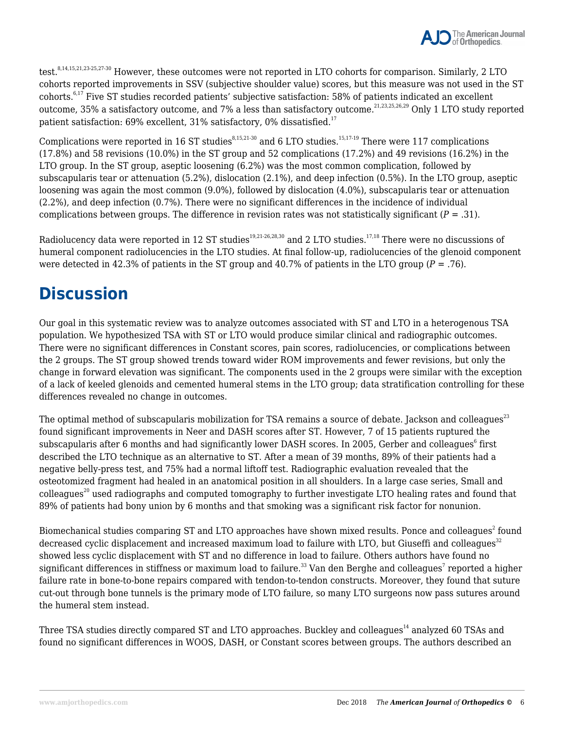

test.  $8,14,15,21,23\cdot25,27\cdot30$  However, these outcomes were not reported in LTO cohorts for comparison. Similarly, 2 LTO cohorts reported improvements in SSV (subjective shoulder value) scores, but this measure was not used in the ST cohorts.6,17 Five ST studies recorded patients' subjective satisfaction: 58% of patients indicated an excellent outcome, 35% a satisfactory outcome, and 7% a less than satisfactory outcome.<sup>21,23,25,26,29</sup> Only 1 LTO study reported patient satisfaction: 69% excellent, 31% satisfactory, 0% dissatisfied.<sup>17</sup>

Complications were reported in 16 ST studies $8,15,21-30$  and 6 LTO studies.<sup>15,17-19</sup> There were 117 complications (17.8%) and 58 revisions (10.0%) in the ST group and 52 complications (17.2%) and 49 revisions (16.2%) in the LTO group. In the ST group, aseptic loosening (6.2%) was the most common complication, followed by subscapularis tear or attenuation (5.2%), dislocation (2.1%), and deep infection (0.5%). In the LTO group, aseptic loosening was again the most common (9.0%), followed by dislocation (4.0%), subscapularis tear or attenuation (2.2%), and deep infection (0.7%). There were no significant differences in the incidence of individual complications between groups. The difference in revision rates was not statistically significant (*P* = .31).

Radiolucency data were reported in 12 ST studies<sup>19,21-26,28,30</sup> and 2 LTO studies.<sup>17,18</sup> There were no discussions of humeral component radiolucencies in the LTO studies. At final follow-up, radiolucencies of the glenoid component were detected in 42.3% of patients in the ST group and 40.7% of patients in the LTO group  $(P = .76)$ .

### **Discussion**

Our goal in this systematic review was to analyze outcomes associated with ST and LTO in a heterogenous TSA population. We hypothesized TSA with ST or LTO would produce similar clinical and radiographic outcomes. There were no significant differences in Constant scores, pain scores, radiolucencies, or complications between the 2 groups. The ST group showed trends toward wider ROM improvements and fewer revisions, but only the change in forward elevation was significant. The components used in the 2 groups were similar with the exception of a lack of keeled glenoids and cemented humeral stems in the LTO group; data stratification controlling for these differences revealed no change in outcomes.

The optimal method of subscapularis mobilization for TSA remains a source of debate. Jackson and colleagues<sup>23</sup> found significant improvements in Neer and DASH scores after ST. However, 7 of 15 patients ruptured the subscapularis after 6 months and had significantly lower DASH scores. In 2005, Gerber and colleagues $^{\rm 6}$  first described the LTO technique as an alternative to ST. After a mean of 39 months, 89% of their patients had a negative belly-press test, and 75% had a normal liftoff test. Radiographic evaluation revealed that the osteotomized fragment had healed in an anatomical position in all shoulders. In a large case series, Small and  $\text{colleagues}^{20}$  used radiographs and computed tomography to further investigate LTO healing rates and found that 89% of patients had bony union by 6 months and that smoking was a significant risk factor for nonunion.

Biomechanical studies comparing ST and LTO approaches have shown mixed results. Ponce and colleagues $^{\text{2}}$  found decreased cyclic displacement and increased maximum load to failure with LTO, but Giuseffi and colleagues<sup>32</sup> showed less cyclic displacement with ST and no difference in load to failure. Others authors have found no significant differences in stiffness or maximum load to failure. $^{\rm 33}$  Van den Berghe and colleagues $^7$  reported a higher failure rate in bone-to-bone repairs compared with tendon-to-tendon constructs. Moreover, they found that suture cut-out through bone tunnels is the primary mode of LTO failure, so many LTO surgeons now pass sutures around the humeral stem instead.

Three TSA studies directly compared ST and LTO approaches. Buckley and colleagues<sup>14</sup> analyzed 60 TSAs and found no significant differences in WOOS, DASH, or Constant scores between groups. The authors described an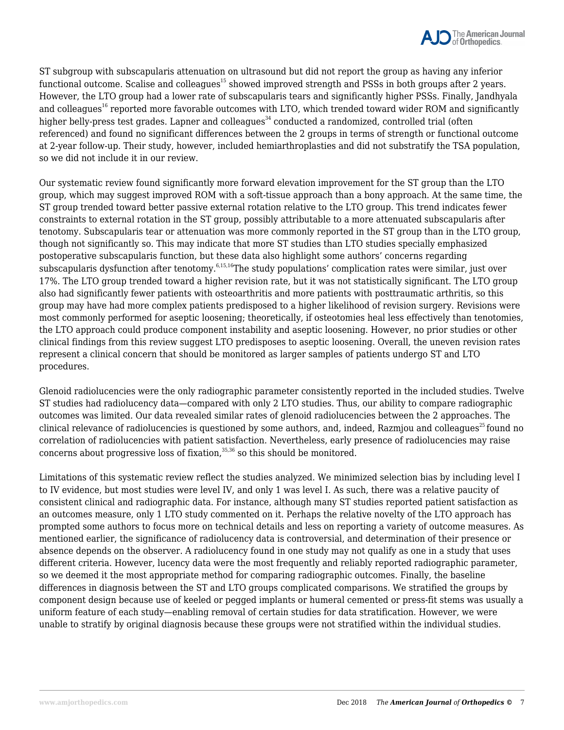

ST subgroup with subscapularis attenuation on ultrasound but did not report the group as having any inferior functional outcome. Scalise and colleagues<sup>15</sup> showed improved strength and PSSs in both groups after 2 years. However, the LTO group had a lower rate of subscapularis tears and significantly higher PSSs. Finally, Jandhyala and colleagues<sup>16</sup> reported more favorable outcomes with LTO, which trended toward wider ROM and significantly higher belly-press test grades. Lapner and colleagues<sup>34</sup> conducted a randomized, controlled trial (often referenced) and found no significant differences between the 2 groups in terms of strength or functional outcome at 2-year follow-up. Their study, however, included hemiarthroplasties and did not substratify the TSA population, so we did not include it in our review.

Our systematic review found significantly more forward elevation improvement for the ST group than the LTO group, which may suggest improved ROM with a soft-tissue approach than a bony approach. At the same time, the ST group trended toward better passive external rotation relative to the LTO group. This trend indicates fewer constraints to external rotation in the ST group, possibly attributable to a more attenuated subscapularis after tenotomy. Subscapularis tear or attenuation was more commonly reported in the ST group than in the LTO group, though not significantly so. This may indicate that more ST studies than LTO studies specially emphasized postoperative subscapularis function, but these data also highlight some authors' concerns regarding subscapularis dysfunction after tenotomy.<sup>6,15,16</sup>The study populations' complication rates were similar, just over 17%. The LTO group trended toward a higher revision rate, but it was not statistically significant. The LTO group also had significantly fewer patients with osteoarthritis and more patients with posttraumatic arthritis, so this group may have had more complex patients predisposed to a higher likelihood of revision surgery. Revisions were most commonly performed for aseptic loosening; theoretically, if osteotomies heal less effectively than tenotomies, the LTO approach could produce component instability and aseptic loosening. However, no prior studies or other clinical findings from this review suggest LTO predisposes to aseptic loosening. Overall, the uneven revision rates represent a clinical concern that should be monitored as larger samples of patients undergo ST and LTO procedures.

Glenoid radiolucencies were the only radiographic parameter consistently reported in the included studies. Twelve ST studies had radiolucency data—compared with only 2 LTO studies. Thus, our ability to compare radiographic outcomes was limited. Our data revealed similar rates of glenoid radiolucencies between the 2 approaches. The clinical relevance of radiolucencies is questioned by some authors, and, indeed, Razmjou and colleagues<sup>25</sup> found no correlation of radiolucencies with patient satisfaction. Nevertheless, early presence of radiolucencies may raise concerns about progressive loss of fixation, $35,36$  so this should be monitored.

Limitations of this systematic review reflect the studies analyzed. We minimized selection bias by including level I to IV evidence, but most studies were level IV, and only 1 was level I. As such, there was a relative paucity of consistent clinical and radiographic data. For instance, although many ST studies reported patient satisfaction as an outcomes measure, only 1 LTO study commented on it. Perhaps the relative novelty of the LTO approach has prompted some authors to focus more on technical details and less on reporting a variety of outcome measures. As mentioned earlier, the significance of radiolucency data is controversial, and determination of their presence or absence depends on the observer. A radiolucency found in one study may not qualify as one in a study that uses different criteria. However, lucency data were the most frequently and reliably reported radiographic parameter, so we deemed it the most appropriate method for comparing radiographic outcomes. Finally, the baseline differences in diagnosis between the ST and LTO groups complicated comparisons. We stratified the groups by component design because use of keeled or pegged implants or humeral cemented or press-fit stems was usually a uniform feature of each study—enabling removal of certain studies for data stratification. However, we were unable to stratify by original diagnosis because these groups were not stratified within the individual studies.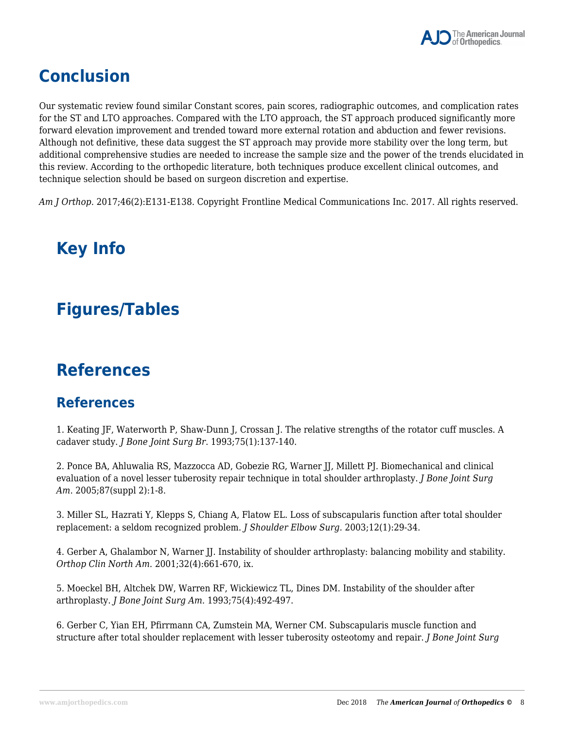

## **Conclusion**

Our systematic review found similar Constant scores, pain scores, radiographic outcomes, and complication rates for the ST and LTO approaches. Compared with the LTO approach, the ST approach produced significantly more forward elevation improvement and trended toward more external rotation and abduction and fewer revisions. Although not definitive, these data suggest the ST approach may provide more stability over the long term, but additional comprehensive studies are needed to increase the sample size and the power of the trends elucidated in this review. According to the orthopedic literature, both techniques produce excellent clinical outcomes, and technique selection should be based on surgeon discretion and expertise.

*Am J Orthop*. 2017;46(2):E131-E138. Copyright Frontline Medical Communications Inc. 2017. All rights reserved.

## **Key Info**

### **Figures/Tables**

### **References**

#### **References**

1. Keating JF, Waterworth P, Shaw-Dunn J, Crossan J. The relative strengths of the rotator cuff muscles. A cadaver study. *J Bone Joint Surg Br*. 1993;75(1):137-140.

2. Ponce BA, Ahluwalia RS, Mazzocca AD, Gobezie RG, Warner JJ, Millett PJ. Biomechanical and clinical evaluation of a novel lesser tuberosity repair technique in total shoulder arthroplasty. *J Bone Joint Surg Am*. 2005;87(suppl 2):1-8.

3. Miller SL, Hazrati Y, Klepps S, Chiang A, Flatow EL. Loss of subscapularis function after total shoulder replacement: a seldom recognized problem. *J Shoulder Elbow Surg*. 2003;12(1):29-34.

4. Gerber A, Ghalambor N, Warner JJ. Instability of shoulder arthroplasty: balancing mobility and stability. *Orthop Clin North Am*. 2001;32(4):661-670, ix.

5. Moeckel BH, Altchek DW, Warren RF, Wickiewicz TL, Dines DM. Instability of the shoulder after arthroplasty. *J Bone Joint Surg Am*. 1993;75(4):492-497.

6. Gerber C, Yian EH, Pfirrmann CA, Zumstein MA, Werner CM. Subscapularis muscle function and structure after total shoulder replacement with lesser tuberosity osteotomy and repair. *J Bone Joint Surg*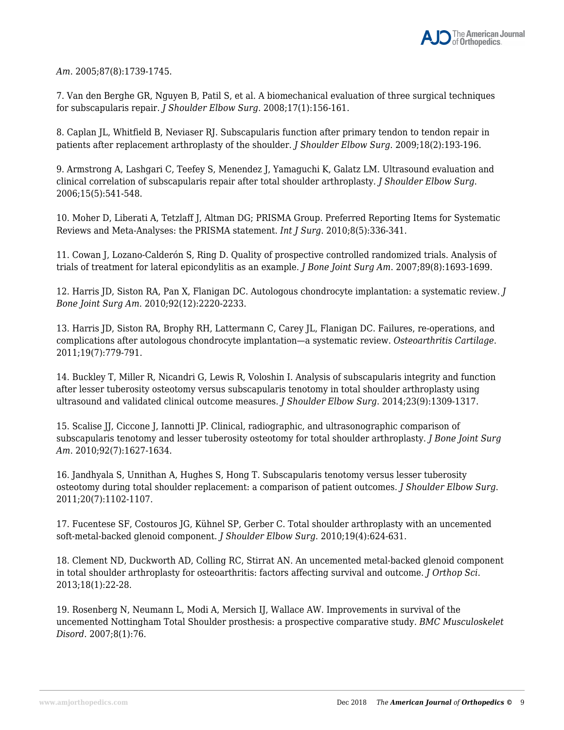*Am*. 2005;87(8):1739-1745.

7. Van den Berghe GR, Nguyen B, Patil S, et al. A biomechanical evaluation of three surgical techniques for subscapularis repair. *J Shoulder Elbow Surg*. 2008;17(1):156-161.

8. Caplan JL, Whitfield B, Neviaser RJ. Subscapularis function after primary tendon to tendon repair in patients after replacement arthroplasty of the shoulder. *J Shoulder Elbow Surg*. 2009;18(2):193-196.

9. Armstrong A, Lashgari C, Teefey S, Menendez J, Yamaguchi K, Galatz LM. Ultrasound evaluation and clinical correlation of subscapularis repair after total shoulder arthroplasty. *J Shoulder Elbow Surg*. 2006;15(5):541-548.

10. Moher D, Liberati A, Tetzlaff J, Altman DG; PRISMA Group. Preferred Reporting Items for Systematic Reviews and Meta-Analyses: the PRISMA statement. *Int J Surg*. 2010;8(5):336-341.

11. Cowan J, Lozano-Calderón S, Ring D. Quality of prospective controlled randomized trials. Analysis of trials of treatment for lateral epicondylitis as an example. *J Bone Joint Surg Am*. 2007;89(8):1693-1699.

12. Harris JD, Siston RA, Pan X, Flanigan DC. Autologous chondrocyte implantation: a systematic review. *J Bone Joint Surg Am*. 2010;92(12):2220-2233.

13. Harris JD, Siston RA, Brophy RH, Lattermann C, Carey JL, Flanigan DC. Failures, re-operations, and complications after autologous chondrocyte implantation—a systematic review. *Osteoarthritis Cartilage*. 2011;19(7):779-791.

14. Buckley T, Miller R, Nicandri G, Lewis R, Voloshin I. Analysis of subscapularis integrity and function after lesser tuberosity osteotomy versus subscapularis tenotomy in total shoulder arthroplasty using ultrasound and validated clinical outcome measures. *J Shoulder Elbow Surg*. 2014;23(9):1309-1317.

15. Scalise JJ, Ciccone J, Iannotti JP. Clinical, radiographic, and ultrasonographic comparison of subscapularis tenotomy and lesser tuberosity osteotomy for total shoulder arthroplasty. *J Bone Joint Surg Am*. 2010;92(7):1627-1634.

16. Jandhyala S, Unnithan A, Hughes S, Hong T. Subscapularis tenotomy versus lesser tuberosity osteotomy during total shoulder replacement: a comparison of patient outcomes. *J Shoulder Elbow Surg*. 2011;20(7):1102-1107.

17. Fucentese SF, Costouros JG, Kühnel SP, Gerber C. Total shoulder arthroplasty with an uncemented soft-metal-backed glenoid component. *J Shoulder Elbow Surg*. 2010;19(4):624-631.

18. Clement ND, Duckworth AD, Colling RC, Stirrat AN. An uncemented metal-backed glenoid component in total shoulder arthroplasty for osteoarthritis: factors affecting survival and outcome. *J Orthop Sci*. 2013;18(1):22-28.

19. Rosenberg N, Neumann L, Modi A, Mersich IJ, Wallace AW. Improvements in survival of the uncemented Nottingham Total Shoulder prosthesis: a prospective comparative study. *BMC Musculoskelet Disord*. 2007;8(1):76.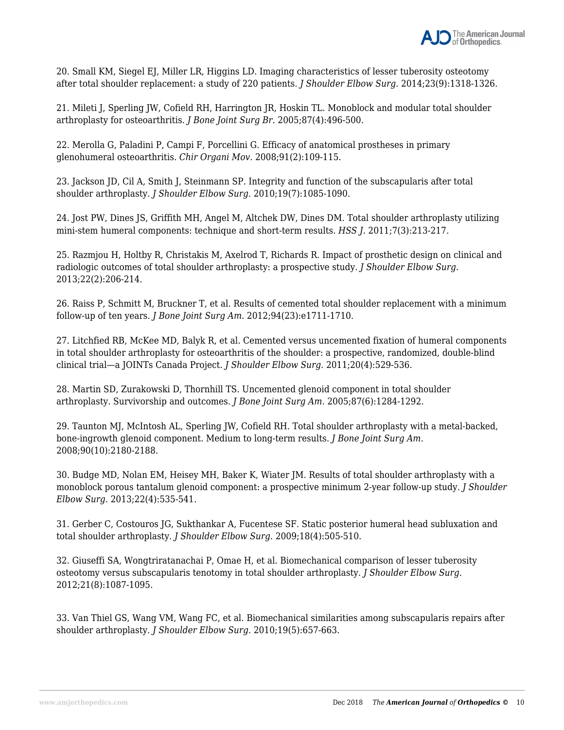

20. Small KM, Siegel EJ, Miller LR, Higgins LD. Imaging characteristics of lesser tuberosity osteotomy after total shoulder replacement: a study of 220 patients. *J Shoulder Elbow Surg*. 2014;23(9):1318-1326.

21. Mileti J, Sperling JW, Cofield RH, Harrington JR, Hoskin TL. Monoblock and modular total shoulder arthroplasty for osteoarthritis. *J Bone Joint Surg Br*. 2005;87(4):496-500.

22. Merolla G, Paladini P, Campi F, Porcellini G. Efficacy of anatomical prostheses in primary glenohumeral osteoarthritis. *Chir Organi Mov*. 2008;91(2):109-115.

23. Jackson JD, Cil A, Smith J, Steinmann SP. Integrity and function of the subscapularis after total shoulder arthroplasty. *J Shoulder Elbow Surg*. 2010;19(7):1085-1090.

24. Jost PW, Dines JS, Griffith MH, Angel M, Altchek DW, Dines DM. Total shoulder arthroplasty utilizing mini-stem humeral components: technique and short-term results. *HSS J*. 2011;7(3):213-217.

25. Razmjou H, Holtby R, Christakis M, Axelrod T, Richards R. Impact of prosthetic design on clinical and radiologic outcomes of total shoulder arthroplasty: a prospective study. *J Shoulder Elbow Surg*. 2013;22(2):206-214.

26. Raiss P, Schmitt M, Bruckner T, et al. Results of cemented total shoulder replacement with a minimum follow-up of ten years. *J Bone Joint Surg Am*. 2012;94(23):e1711-1710.

27. Litchfied RB, McKee MD, Balyk R, et al. Cemented versus uncemented fixation of humeral components in total shoulder arthroplasty for osteoarthritis of the shoulder: a prospective, randomized, double-blind clinical trial—a JOINTs Canada Project. *J Shoulder Elbow Surg*. 2011;20(4):529-536.

28. Martin SD, Zurakowski D, Thornhill TS. Uncemented glenoid component in total shoulder arthroplasty. Survivorship and outcomes. *J Bone Joint Surg Am*. 2005;87(6):1284-1292.

29. Taunton MJ, McIntosh AL, Sperling JW, Cofield RH. Total shoulder arthroplasty with a metal-backed, bone-ingrowth glenoid component. Medium to long-term results. *J Bone Joint Surg Am*. 2008;90(10):2180-2188.

30. Budge MD, Nolan EM, Heisey MH, Baker K, Wiater JM. Results of total shoulder arthroplasty with a monoblock porous tantalum glenoid component: a prospective minimum 2-year follow-up study. *J Shoulder Elbow Surg*. 2013;22(4):535-541.

31. Gerber C, Costouros JG, Sukthankar A, Fucentese SF. Static posterior humeral head subluxation and total shoulder arthroplasty. *J Shoulder Elbow Surg*. 2009;18(4):505-510.

32. Giuseffi SA, Wongtriratanachai P, Omae H, et al. Biomechanical comparison of lesser tuberosity osteotomy versus subscapularis tenotomy in total shoulder arthroplasty. *J Shoulder Elbow Surg*. 2012;21(8):1087-1095.

33. Van Thiel GS, Wang VM, Wang FC, et al. Biomechanical similarities among subscapularis repairs after shoulder arthroplasty. *J Shoulder Elbow Surg*. 2010;19(5):657-663.